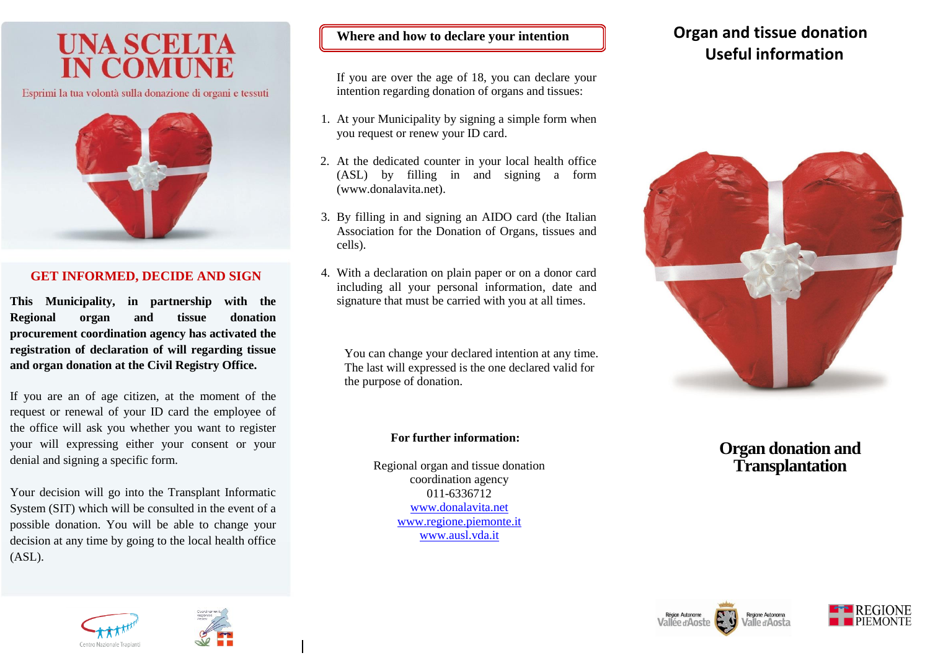# **UNA SCELTA**

Esprimi la tua volontà sulla donazione di organi e tessuti



### **GET INFORMED, DECIDE AND SIGN**

**This Municipality, in partnership with the Regional organ and tissue donation procurement coordination agency has activated the registration of declaration of will regarding tissue and organ donation at the Civil Registry Office.**

If you are an of age citizen, at the moment of the request or renewal of your ID card the employee of the office will ask you whether you want to register your will expressing either your consent or your denial and signing a specific form.

Your decision will go into the Transplant Informatic System (SIT) which will be consulted in the event of a possible donation. You will be able to change your decision at any time by going to the local health office (ASL).

#### **Where and how to declare your intention**

If you are over the age of 18, you can declare your intention regarding donation of organs and tissues:

- 1. At your Municipality by signing a simple form when you request or renew your ID card.
- 2. At the dedicated counter in your local health office (ASL) by filling in and signing a form (www.donalavita.net).
- 3. By filling in and signing an AIDO card (the Italian Association for the Donation of Organs, tissues and cells).
- 4. With a declaration on plain paper or on a donor card including all your personal information, date and signature that must be carried with you at all times.

You can change your declared intention at any time. The last will expressed is the one declared valid for the purpose of donation.

#### **For further information:**

Regional organ and tissue donation coordination agency 011-6336712 www.donalavita.net [www.regione.piemonte.it](http://www.regione.piemonte.it/) www.ausl.vda.it

## **Organ and tissue donation Useful information**



## **Organ donation and Transplantation**